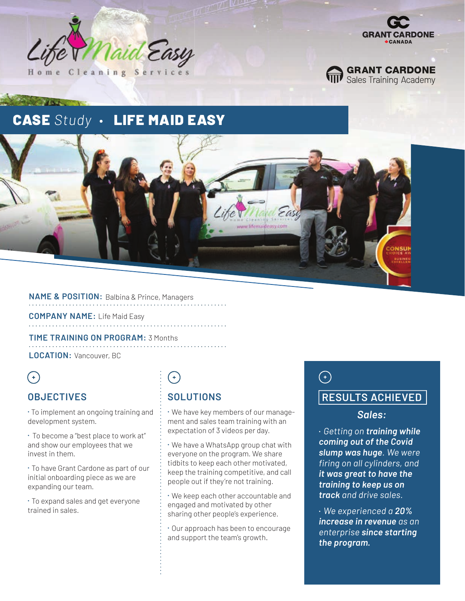





# **CASE Study · LIFE MAID EASY**



#### **NAME & POSITION:** Balbina & Prince, Managers

**COMPANY NAME:** Life Maid Easy 

**TIME TRAINING ON PROGRAM:** 3 Months

**LOCATION:** Vancouver, BC

 $\bigodot$ 

## **OBJECTIVES**

⁌ To implement an ongoing training and development system.

⁌ To become a "best place to work at" and show our employees that we invest in them.

⁌ To have Grant Cardone as part of our initial onboarding piece as we are expanding our team.

⁌ To expand sales and get everyone trained in sales.

# $($ +)

## **SOLUTIONS**

⁌ We have key members of our management and sales team training with an expectation of 3 videos per day.

⁌ We have a WhatsApp group chat with everyone on the program. We share tidbits to keep each other motivated, keep the training competitive, and call people out if they're not training.

⁌ We keep each other accountable and engaged and motivated by other sharing other people's experience.

⁌ Our approach has been to encourage and support the team's growth.

# $\bigodot$

### **RESULTS ACHIEVED**

#### *Sales:*

• *Getting on training while coming out of the Covid slump was huge. We were firing on all cylinders, and it was great to have the training to keep us on track and drive sales.* 

• *We experienced a 20% increase in revenue as an enterprise since starting the program.*